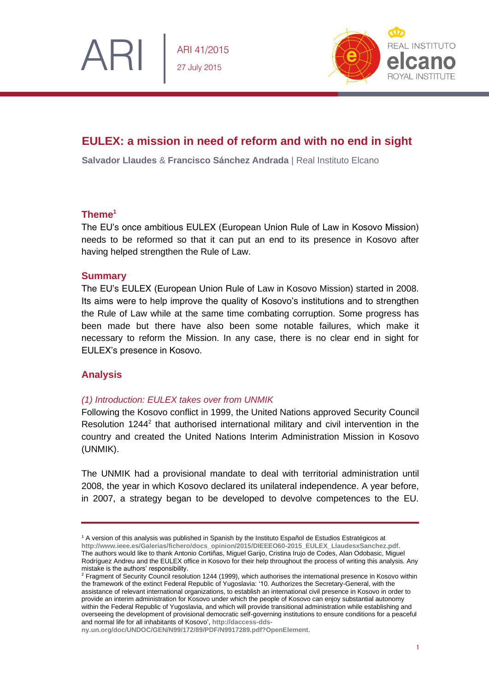ARI 41/2015 27 July 2015



# **EULEX: a mission in need of reform and with no end in sight**

**Salvador Llaudes** & **Francisco Sánchez Andrada** | Real Instituto Elcano

# **Theme<sup>1</sup>**

The EU's once ambitious EULEX (European Union Rule of Law in Kosovo Mission) needs to be reformed so that it can put an end to its presence in Kosovo after having helped strengthen the Rule of Law.

### **Summary**

The EU's EULEX (European Union Rule of Law in Kosovo Mission) started in 2008. Its aims were to help improve the quality of Kosovo's institutions and to strengthen the Rule of Law while at the same time combating corruption. Some progress has been made but there have also been some notable failures, which make it necessary to reform the Mission. In any case, there is no clear end in sight for EULEX's presence in Kosovo.

# **Analysis**

# *(1) Introduction: EULEX takes over from UNMIK*

Following the Kosovo conflict in 1999, the United Nations approved Security Council Resolution 1244<sup>2</sup> that authorised international military and civil intervention in the country and created the United Nations Interim Administration Mission in Kosovo (UNMIK).

The UNMIK had a provisional mandate to deal with territorial administration until 2008, the year in which Kosovo declared its unilateral independence. A year before, in 2007, a strategy began to be developed to devolve competences to the EU.

<sup>1</sup> A version of this analysis was published in Spanish by the Instituto Español de Estudios Estratégicos at **[http://www.ieee.es/Galerias/fichero/docs\\_opinion/2015/DIEEEO60-2015\\_EULEX\\_LlaudesxSanchez.pdf.](http://www.ieee.es/Galerias/fichero/docs_opinion/2015/DIEEEO60-2015_EULEX_LlaudesxSanchez.pdf)** The authors would like to thank Antonio Cortiñas, Miguel Garijo, Cristina Irujo de Codes, Alan Odobasic, Miguel Rodríguez Andreu and the EULEX office in Kosovo for their help throughout the process of writing this analysis. Any mistake is the authors' responsibility.

<sup>&</sup>lt;sup>2</sup> Fragment of Security Council resolution 1244 (1999), which authorises the international presence in Kosovo within the framework of the extinct Federal Republic of Yugoslavia: '10. Authorizes the Secretary-General, with the assistance of relevant international organizations, to establish an international civil presence in Kosovo in order to provide an interim administration for Kosovo under which the people of Kosovo can enjoy substantial autonomy within the Federal Republic of Yugoslavia, and which will provide transitional administration while establishing and overseeing the development of provisional democratic self-governing institutions to ensure conditions for a peaceful and normal life for all inhabitants of Kosovo', **[http://daccess-dds-](http://daccess-dds-ny.un.org/doc/UNDOC/GEN/N99/172/89/PDF/N9917289.pdf?OpenElement)**

**[ny.un.org/doc/UNDOC/GEN/N99/172/89/PDF/N9917289.pdf?OpenElement](http://daccess-dds-ny.un.org/doc/UNDOC/GEN/N99/172/89/PDF/N9917289.pdf?OpenElement)**.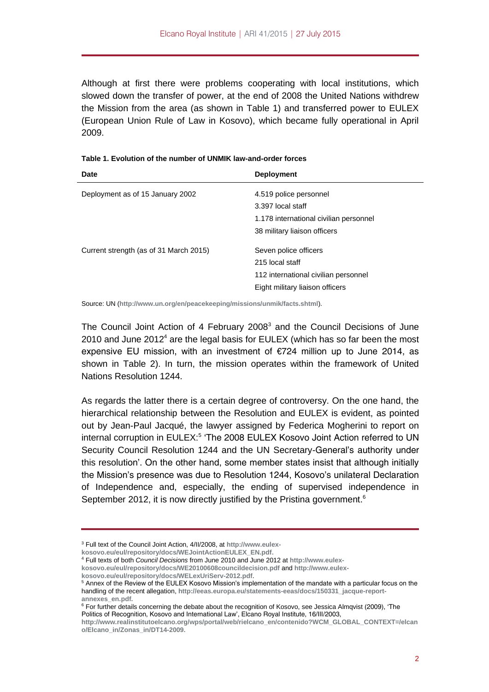Although at first there were problems cooperating with local institutions, which slowed down the transfer of power, at the end of 2008 the United Nations withdrew the Mission from the area (as shown in Table 1) and transferred power to EULEX (European Union Rule of Law in Kosovo), which became fully operational in April 2009.

| <b>Deployment</b>                                                                                                   |
|---------------------------------------------------------------------------------------------------------------------|
| 4.519 police personnel                                                                                              |
| 3.397 local staff                                                                                                   |
| 1.178 international civilian personnel                                                                              |
| 38 military liaison officers                                                                                        |
| Seven police officers<br>215 local staff<br>112 international civilian personnel<br>Eight military liaison officers |
|                                                                                                                     |

Source: UN (**<http://www.un.org/en/peacekeeping/missions/unmik/facts.shtml>**).

The Council Joint Action of 4 February 2008<sup>3</sup> and the Council Decisions of June 2010 and June  $2012<sup>4</sup>$  are the legal basis for EULEX (which has so far been the most expensive EU mission, with an investment of €724 million up to June 2014, as shown in Table 2). In turn, the mission operates within the framework of United Nations Resolution 1244.

As regards the latter there is a certain degree of controversy. On the one hand, the hierarchical relationship between the Resolution and EULEX is evident, as pointed out by Jean-Paul Jacqué, the lawyer assigned by Federica Mogherini to report on internal corruption in EULEX:<sup>5</sup> 'The 2008 EULEX Kosovo Joint Action referred to UN Security Council Resolution 1244 and the UN Secretary-General's authority under this resolution'. On the other hand, some member states insist that although initially the Mission's presence was due to Resolution 1244, Kosovo's unilateral Declaration of Independence and, especially, the ending of supervised independence in September 2012, it is now directly justified by the Pristina government.<sup>6</sup>

<sup>3</sup> Full text of the Council Joint Action, 4/II/2008, at **[http://www.eulex-](http://www.eulex-kosovo.eu/eul/repository/docs/WEJointActionEULEX_EN.pdf)**

**[kosovo.eu/eul/repository/docs/WEJointActionEULEX\\_EN.pdf.](http://www.eulex-kosovo.eu/eul/repository/docs/WEJointActionEULEX_EN.pdf)**

<sup>4</sup> Full texts of both *Council Decisions* from June 2010 and June 2012 at **[http://www.eulex-](http://www.eulex-kosovo.eu/eul/repository/docs/WE20100608councildecision.pdfA)**

**[kosovo.eu/eul/repository/docs/WE20100608councildecision.pdf](http://www.eulex-kosovo.eu/eul/repository/docs/WE20100608councildecision.pdfA)** and **[http://www.eulex-](http://www.eulex-kosovo.eu/eul/repository/docs/WELexUriServ-2012.pdf)**

**[kosovo.eu/eul/repository/docs/WELexUriServ-2012.pdf](http://www.eulex-kosovo.eu/eul/repository/docs/WELexUriServ-2012.pdf)**.

<sup>5</sup> Annex of the Review of the EULEX Kosovo Mission's implementation of the mandate with a particular focus on the handling of the recent allegation, http://eeas.europa.eu/statements-eeas/docs/150331\_iacque-report**[annexes\\_en.pdf.](http://eeas.europa.eu/statements-eeas/docs/150331_jacque-report-annexes_en.pdf)**

<sup>&</sup>lt;sup>6</sup> For further details concerning the debate about the recognition of Kosovo, see Jessica Almqvist (2009), 'The Politics of Recognition, Kosovo and International Law', Elcano Royal Institute, 16/III/2003,

**[http://www.realinstitutoelcano.org/wps/portal/web/rielcano\\_en/contenido?WCM\\_GLOBAL\\_CONTEXT=/elcan](http://www.realinstitutoelcano.org/wps/portal/web/rielcano_en/contenido?WCM_GLOBAL_CONTEXT=/elcano/Elcano_in/Zonas_in/DT14-2009) [o/Elcano\\_in/Zonas\\_in/DT14-2009.](http://www.realinstitutoelcano.org/wps/portal/web/rielcano_en/contenido?WCM_GLOBAL_CONTEXT=/elcano/Elcano_in/Zonas_in/DT14-2009)**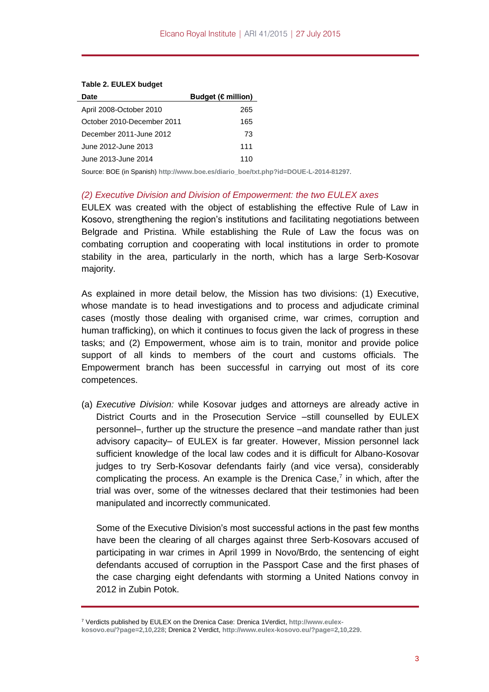| Date                       | Budget ( $\epsilon$ million) |
|----------------------------|------------------------------|
| April 2008-October 2010    | 265                          |
| October 2010-December 2011 | 165                          |
| December 2011-June 2012    | 73                           |
| June 2012-June 2013        | 111                          |
| June 2013-June 2014        | 110                          |
|                            |                              |

#### **Table 2. EULEX budget**

Source: BOE (in Spanish) **[http://www.boe.es/diario\\_boe/txt.php?id=DOUE-L-2014-81297](http://www.boe.es/diario_boe/txt.php?id=DOUE-L-2014-81297)**.

#### *(2) Executive Division and Division of Empowerment: the two EULEX axes*

EULEX was created with the object of establishing the effective Rule of Law in Kosovo, strengthening the region's institutions and facilitating negotiations between Belgrade and Pristina. While establishing the Rule of Law the focus was on combating corruption and cooperating with local institutions in order to promote stability in the area, particularly in the north, which has a large Serb-Kosovar majority.

As explained in more detail below, the Mission has two divisions: (1) Executive, whose mandate is to head investigations and to process and adjudicate criminal cases (mostly those dealing with organised crime, war crimes, corruption and human trafficking), on which it continues to focus given the lack of progress in these tasks; and (2) Empowerment, whose aim is to train, monitor and provide police support of all kinds to members of the court and customs officials. The Empowerment branch has been successful in carrying out most of its core competences.

(a) *Executive Division:* while Kosovar judges and attorneys are already active in District Courts and in the Prosecution Service –still counselled by EULEX personnel–, further up the structure the presence –and mandate rather than just advisory capacity– of EULEX is far greater. However, Mission personnel lack sufficient knowledge of the local law codes and it is difficult for Albano-Kosovar judges to try Serb-Kosovar defendants fairly (and vice versa), considerably complicating the process. An example is the Drenica Case, $<sup>7</sup>$  in which, after the</sup> trial was over, some of the witnesses declared that their testimonies had been manipulated and incorrectly communicated.

Some of the Executive Division's most successful actions in the past few months have been the clearing of all charges against three Serb-Kosovars accused of participating in war crimes in April 1999 in Novo/Brdo, the sentencing of eight defendants accused of corruption in the Passport Case and the first phases of the case charging eight defendants with storming a United Nations convoy in 2012 in Zubin Potok.

<sup>7</sup> Verdicts published by EULEX on the Drenica Case: Drenica 1Verdict, **[http://www.eulex-](http://www.eulex-kosovo.eu/?page=2,10,228)**

**[kosovo.eu/?page=2,10,228](http://www.eulex-kosovo.eu/?page=2,10,228)**; Drenica 2 Verdict, **<http://www.eulex-kosovo.eu/?page=2,10,229>**.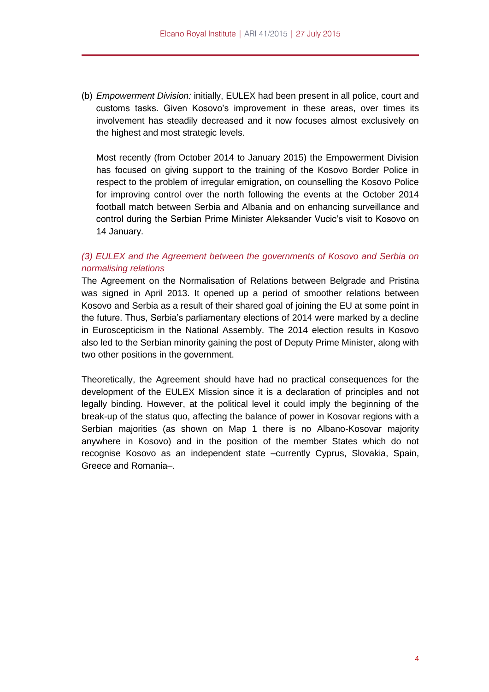(b) *Empowerment Division:* initially, EULEX had been present in all police, court and customs tasks. Given Kosovo's improvement in these areas, over times its involvement has steadily decreased and it now focuses almost exclusively on the highest and most strategic levels.

Most recently (from October 2014 to January 2015) the Empowerment Division has focused on giving support to the training of the Kosovo Border Police in respect to the problem of irregular emigration, on counselling the Kosovo Police for improving control over the north following the events at the October 2014 football match between Serbia and Albania and on enhancing surveillance and control during the Serbian Prime Minister Aleksander Vucic's visit to Kosovo on 14 January.

# *(3) EULEX and the Agreement between the governments of Kosovo and Serbia on normalising relations*

The Agreement on the Normalisation of Relations between Belgrade and Pristina was signed in April 2013. It opened up a period of smoother relations between Kosovo and Serbia as a result of their shared goal of joining the EU at some point in the future. Thus, Serbia's parliamentary elections of 2014 were marked by a decline in Euroscepticism in the National Assembly. The 2014 election results in Kosovo also led to the Serbian minority gaining the post of Deputy Prime Minister, along with two other positions in the government.

Theoretically, the Agreement should have had no practical consequences for the development of the EULEX Mission since it is a declaration of principles and not legally binding. However, at the political level it could imply the beginning of the break-up of the status quo, affecting the balance of power in Kosovar regions with a Serbian majorities (as shown on Map 1 there is no Albano-Kosovar majority anywhere in Kosovo) and in the position of the member States which do not recognise Kosovo as an independent state –currently Cyprus, Slovakia, Spain, Greece and Romania–.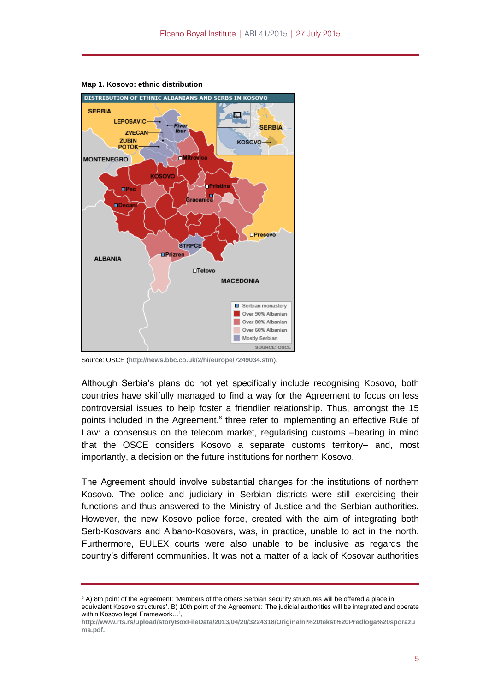

**Map 1. Kosovo: ethnic distribution**

Source: OSCE (**<http://news.bbc.co.uk/2/hi/europe/7249034.stm>**).

Although Serbia's plans do not yet specifically include recognising Kosovo, both countries have skilfully managed to find a way for the Agreement to focus on less controversial issues to help foster a friendlier relationship. Thus, amongst the 15 points included in the Agreement,<sup>8</sup> three refer to implementing an effective Rule of Law: a consensus on the telecom market, regularising customs –bearing in mind that the OSCE considers Kosovo a separate customs territory– and, most importantly, a decision on the future institutions for northern Kosovo.

The Agreement should involve substantial changes for the institutions of northern Kosovo. The police and judiciary in Serbian districts were still exercising their functions and thus answered to the Ministry of Justice and the Serbian authorities. However, the new Kosovo police force, created with the aim of integrating both Serb-Kosovars and Albano-Kosovars, was, in practice, unable to act in the north. Furthermore, EULEX courts were also unable to be inclusive as regards the country's different communities. It was not a matter of a lack of Kosovar authorities

<sup>&</sup>lt;sup>8</sup> A) 8th point of the Agreement: 'Members of the others Serbian security structures will be offered a place in equivalent Kosovo structures'. B) 10th point of the Agreement: 'The judicial authorities will be integrated and operate within Kosovo legal Framework…',

**[http://www.rts.rs/upload/storyBoxFileData/2013/04/20/3224318/Originalni%20tekst%20Predloga%20sporazu](http://www.rts.rs/upload/storyBoxFileData/2013/04/20/3224318/Originalni%20tekst%20Predloga%20sporazuma.pdf) [ma.pdf.](http://www.rts.rs/upload/storyBoxFileData/2013/04/20/3224318/Originalni%20tekst%20Predloga%20sporazuma.pdf)**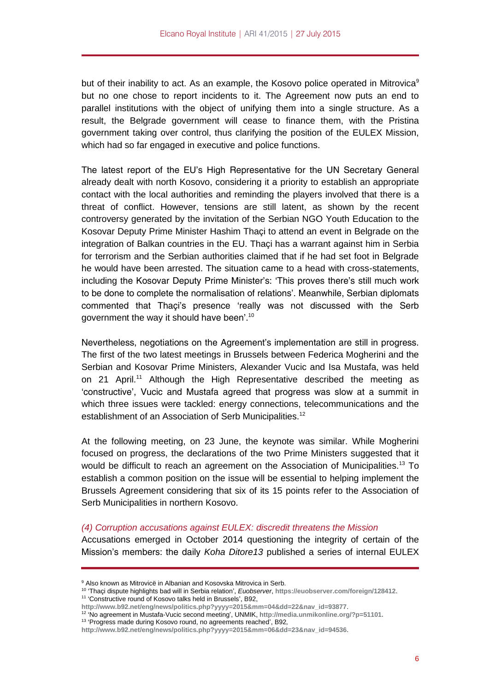but of their inability to act. As an example, the Kosovo police operated in Mitrovica<sup>9</sup> but no one chose to report incidents to it. The Agreement now puts an end to parallel institutions with the object of unifying them into a single structure. As a result, the Belgrade government will cease to finance them, with the Pristina government taking over control, thus clarifying the position of the EULEX Mission, which had so far engaged in executive and police functions.

The latest report of the EU's High Representative for the UN Secretary General already dealt with north Kosovo, considering it a priority to establish an appropriate contact with the local authorities and reminding the players involved that there is a threat of conflict. However, tensions are still latent, as shown by the recent controversy generated by the invitation of the Serbian NGO Youth Education to the Kosovar Deputy Prime Minister Hashim Thaçi to attend an event in Belgrade on the integration of Balkan countries in the EU. Thaçi has a warrant against him in Serbia for terrorism and the Serbian authorities claimed that if he had set foot in Belgrade he would have been arrested. The situation came to a head with cross-statements, including the Kosovar Deputy Prime Minister's: 'This proves there's still much work to be done to complete the normalisation of relations'. Meanwhile, Serbian diplomats commented that Thaçi's presence 'really was not discussed with the Serb government the way it should have been'.<sup>10</sup>

Nevertheless, negotiations on the Agreement's implementation are still in progress. The first of the two latest meetings in Brussels between Federica Mogherini and the Serbian and Kosovar Prime Ministers, Alexander Vucic and Isa Mustafa, was held on 21 April.<sup>11</sup> Although the High Representative described the meeting as 'constructive', Vucic and Mustafa agreed that progress was slow at a summit in which three issues were tackled: energy connections, telecommunications and the establishment of an Association of Serb Municipalities.<sup>12</sup>

At the following meeting, on 23 June, the keynote was similar. While Mogherini focused on progress, the declarations of the two Prime Ministers suggested that it would be difficult to reach an agreement on the Association of Municipalities.<sup>13</sup> To establish a common position on the issue will be essential to helping implement the Brussels Agreement considering that six of its 15 points refer to the Association of Serb Municipalities in northern Kosovo.

### *(4) Corruption accusations against EULEX: discredit threatens the Mission*

Accusations emerged in October 2014 questioning the integrity of certain of the Mission's members: the daily *Koha Ditore13* published a series of internal EULEX

<sup>&</sup>lt;sup>9</sup> Also known as Mitrovicë in Albanian and Kosovska Mitrovica in Serb.

<sup>10</sup> 'Thaçi dispute highlights bad will in Serbia relation', *Euobserver*, **<https://euobserver.com/foreign/128412>**.

<sup>11</sup> 'Constructive round of Kosovo talks held in Brussels', B92,

**[http://www.b92.net/eng/news/politics.php?yyyy=2015&mm=04&dd=22&nav\\_id=93877](http://www.b92.net/eng/news/politics.php?yyyy=2015&mm=04&dd=22&nav_id=93877)**.

<sup>12</sup> 'No agreement in Mustafa-Vucic second meeting', UNMIK, **[http://media.unmikonline.org/?p=51101.](http://media.unmikonline.org/?p=51101)**

<sup>&</sup>lt;sup>13</sup> 'Progress made during Kosovo round, no agreements reached', B92,

**[http://www.b92.net/eng/news/politics.php?yyyy=2015&mm=06&dd=23&nav\\_id=94536](http://www.b92.net/eng/news/politics.php?yyyy=2015&mm=06&dd=23&nav_id=94536)**.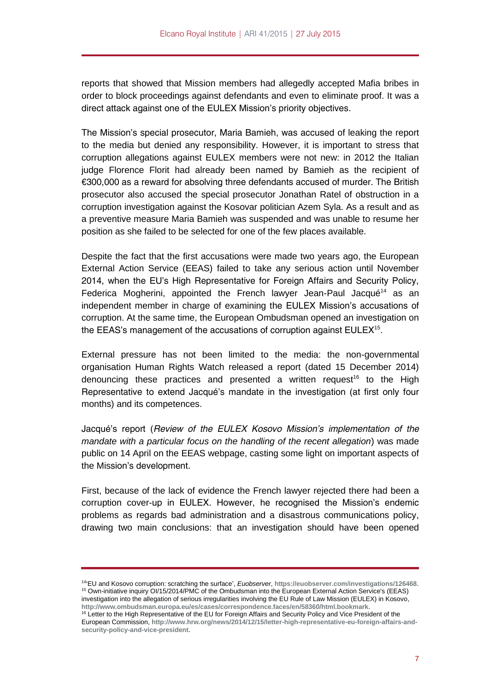reports that showed that Mission members had allegedly accepted Mafia bribes in order to block proceedings against defendants and even to eliminate proof. It was a direct attack against one of the EULEX Mission's priority objectives.

The Mission's special prosecutor, Maria Bamieh, was accused of leaking the report to the media but denied any responsibility. However, it is important to stress that corruption allegations against EULEX members were not new: in 2012 the Italian judge Florence Florit had already been named by Bamieh as the recipient of €300,000 as a reward for absolving three defendants accused of murder. The British prosecutor also accused the special prosecutor Jonathan Ratel of obstruction in a corruption investigation against the Kosovar politician Azem Syla. As a result and as a preventive measure Maria Bamieh was suspended and was unable to resume her position as she failed to be selected for one of the few places available.

Despite the fact that the first accusations were made two years ago, the European External Action Service (EEAS) failed to take any serious action until November 2014, when the EU's High Representative for Foreign Affairs and Security Policy, Federica Mogherini, appointed the French lawyer Jean-Paul Jacqué<sup>14</sup> as an independent member in charge of examining the EULEX Mission's accusations of corruption. At the same time, the European Ombudsman opened an investigation on the EEAS's management of the accusations of corruption against EULEX<sup>15</sup>.

External pressure has not been limited to the media: the non-governmental organisation Human Rights Watch released a report (dated 15 December 2014) denouncing these practices and presented a written request<sup>16</sup> to the High Representative to extend Jacqué's mandate in the investigation (at first only four months) and its competences.

Jacqué's report (*Review of the EULEX Kosovo Mission's implementation of the mandate with a particular focus on the handling of the recent allegation*) was made public on 14 April on the EEAS webpage, casting some light on important aspects of the Mission's development.

First, because of the lack of evidence the French lawyer rejected there had been a corruption cover-up in EULEX. However, he recognised the Mission's endemic problems as regards bad administration and a disastrous communications policy, drawing two main conclusions: that an investigation should have been opened

<sup>14</sup> 'EU and Kosovo corruption: scratching the surface', *Euobserver*, **<https://euobserver.com/investigations/126468>**. <sup>15</sup> Own-initiative inquiry OI/15/2014/PMC of the Ombudsman into the European External Action Service's (EEAS) investigation into the allegation of serious irregularities involving the EU Rule of Law Mission (EULEX) in Kosovo, **<http://www.ombudsman.europa.eu/es/cases/correspondence.faces/en/58360/html.bookmark>**.

<sup>&</sup>lt;sup>16</sup> Letter to the High Representative of the EU for Foreign Affairs and Security Policy and Vice President of the European Commission, **[http://www.hrw.org/news/2014/12/15/letter-high-representative-eu-foreign-affairs-and](http://www.hrw.org/news/2014/12/15/letter-high-representative-eu-foreign-affairs-and-security-policy-and-vice-president)[security-policy-and-vice-president.](http://www.hrw.org/news/2014/12/15/letter-high-representative-eu-foreign-affairs-and-security-policy-and-vice-president)**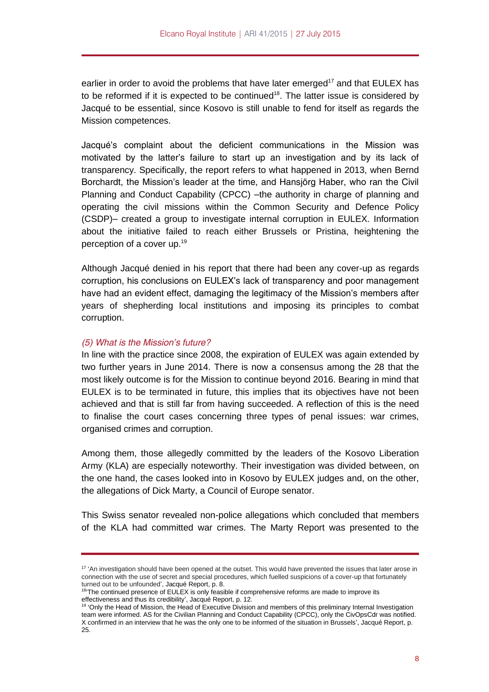earlier in order to avoid the problems that have later emerged<sup>17</sup> and that EULEX has to be reformed if it is expected to be continued<sup>18</sup>. The latter issue is considered by Jacqué to be essential, since Kosovo is still unable to fend for itself as regards the Mission competences.

Jacqué's complaint about the deficient communications in the Mission was motivated by the latter's failure to start up an investigation and by its lack of transparency. Specifically, the report refers to what happened in 2013, when Bernd Borchardt, the Mission's leader at the time, and Hansjörg Haber, who ran the Civil Planning and Conduct Capability (CPCC) –the authority in charge of planning and operating the civil missions within the Common Security and Defence Policy (CSDP)– created a group to investigate internal corruption in EULEX. Information about the initiative failed to reach either Brussels or Pristina, heightening the perception of a cover up.<sup>19</sup>

Although Jacqué denied in his report that there had been any cover-up as regards corruption, his conclusions on EULEX's lack of transparency and poor management have had an evident effect, damaging the legitimacy of the Mission's members after years of shepherding local institutions and imposing its principles to combat corruption.

#### *(5) What is the Mission's future?*

In line with the practice since 2008, the expiration of EULEX was again extended by two further years in June 2014. There is now a consensus among the 28 that the most likely outcome is for the Mission to continue beyond 2016. Bearing in mind that EULEX is to be terminated in future, this implies that its objectives have not been achieved and that is still far from having succeeded. A reflection of this is the need to finalise the court cases concerning three types of penal issues: war crimes, organised crimes and corruption.

Among them, those allegedly committed by the leaders of the Kosovo Liberation Army (KLA) are especially noteworthy. Their investigation was divided between, on the one hand, the cases looked into in Kosovo by EULEX judges and, on the other, the allegations of Dick Marty, a Council of Europe senator.

This Swiss senator revealed non-police allegations which concluded that members of the KLA had committed war crimes. The Marty Report was presented to the

<sup>&</sup>lt;sup>17</sup> 'An investigation should have been opened at the outset. This would have prevented the issues that later arose in connection with the use of secret and special procedures, which fuelled suspicions of a cover-up that fortunately turned out to be unfounded', Jacqué Report, p. 8.

<sup>&</sup>lt;sup>18</sup> The continued presence of EULEX is only feasible if comprehensive reforms are made to improve its effectiveness and thus its credibility', Jacqué Report, p. 12.

<sup>19</sup> 'Only the Head of Mission, the Head of Executive Division and members of this preliminary Internal Investigation team were informed. AS for the Civilian Planning and Conduct Capability (CPCC), only the CivOpsCdr was notified. X confirmed in an interview that he was the only one to be informed of the situation in Brussels', Jacqué Report, p. 25.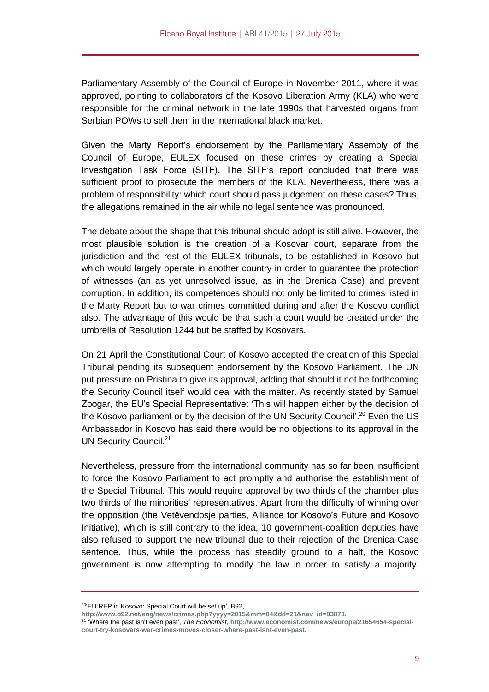Parliamentary Assembly of the Council of Europe in November 2011, where it was approved, pointing to collaborators of the Kosovo Liberation Army (KLA) who were responsible for the criminal network in the late 1990s that harvested organs from Serbian POWs to sell them in the international black market.

Given the Marty Report's endorsement by the Parliamentary Assembly of the Council of Europe, EULEX focused on these crimes by creating a Special Investigation Task Force (SITF). The SITF's report concluded that there was sufficient proof to prosecute the members of the KLA. Nevertheless, there was a problem of responsibility: which court should pass judgement on these cases? Thus, the allegations remained in the air while no legal sentence was pronounced.

The debate about the shape that this tribunal should adopt is still alive. However, the most plausible solution is the creation of a Kosovar court, separate from the jurisdiction and the rest of the EULEX tribunals, to be established in Kosovo but which would largely operate in another country in order to guarantee the protection of witnesses (an as yet unresolved issue, as in the Drenica Case) and prevent corruption. In addition, its competences should not only be limited to crimes listed in the Marty Report but to war crimes committed during and after the Kosovo conflict also. The advantage of this would be that such a court would be created under the umbrella of Resolution 1244 but be staffed by Kosovars.

On 21 April the Constitutional Court of Kosovo accepted the creation of this Special Tribunal pending its subsequent endorsement by the Kosovo Parliament. The UN put pressure on Pristina to give its approval, adding that should it not be forthcoming the Security Council itself would deal with the matter. As recently stated by Samuel Zbogar, the EU's Special Representative: 'This will happen either by the decision of the Kosovo parliament or by the decision of the UN Security Council<sup>'', 20</sup> Even the US Ambassador in Kosovo has said there would be no objections to its approval in the UN Security Council.<sup>21</sup>

Nevertheless, pressure from the international community has so far been insufficient to force the Kosovo Parliament to act promptly and authorise the establishment of the Special Tribunal. This would require approval by two thirds of the chamber plus two thirds of the minorities' representatives. Apart from the difficulty of winning over the opposition (the Vetëvendosje parties, Alliance for Kosovo's Future and Kosovo Initiative), which is still contrary to the idea, 10 government-coalition deputies have also refused to support the new tribunal due to their rejection of the Drenica Case sentence. Thus, while the process has steadily ground to a halt, the Kosovo government is now attempting to modify the law in order to satisfy a majority.

<sup>20</sup> 'EU REP in Kosovo: Special Court will be set up', B92,

**[http://www.b92.net/eng/news/crimes.php?yyyy=2015&mm=04&dd=21&nav\\_id=93873.](http://www.b92.net/eng/news/crimes.php?yyyy=2015&mm=04&dd=21&nav_id=93873)**

<sup>21</sup> 'Where the past isn't even past', *The Economist*, **[http://www.economist.com/news/europe/21654654-special](http://www.economist.com/news/europe/21654654-special-court-try-kosovars-war-crimes-moves-closer-where-past-isnt-even-past)[court-try-kosovars-war-crimes-moves-closer-where-past-isnt-even-past](http://www.economist.com/news/europe/21654654-special-court-try-kosovars-war-crimes-moves-closer-where-past-isnt-even-past)**.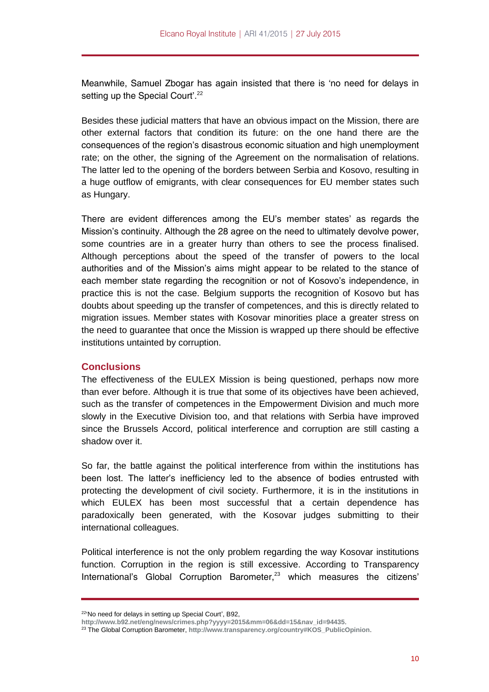Meanwhile, Samuel Zbogar has again insisted that there is 'no need for delays in setting up the Special Court'.<sup>22</sup>

Besides these judicial matters that have an obvious impact on the Mission, there are other external factors that condition its future: on the one hand there are the consequences of the region's disastrous economic situation and high unemployment rate; on the other, the signing of the Agreement on the normalisation of relations. The latter led to the opening of the borders between Serbia and Kosovo, resulting in a huge outflow of emigrants, with clear consequences for EU member states such as Hungary.

There are evident differences among the EU's member states' as regards the Mission's continuity. Although the 28 agree on the need to ultimately devolve power, some countries are in a greater hurry than others to see the process finalised. Although perceptions about the speed of the transfer of powers to the local authorities and of the Mission's aims might appear to be related to the stance of each member state regarding the recognition or not of Kosovo's independence, in practice this is not the case. Belgium supports the recognition of Kosovo but has doubts about speeding up the transfer of competences, and this is directly related to migration issues. Member states with Kosovar minorities place a greater stress on the need to guarantee that once the Mission is wrapped up there should be effective institutions untainted by corruption.

### **Conclusions**

The effectiveness of the EULEX Mission is being questioned, perhaps now more than ever before. Although it is true that some of its objectives have been achieved, such as the transfer of competences in the Empowerment Division and much more slowly in the Executive Division too, and that relations with Serbia have improved since the Brussels Accord, political interference and corruption are still casting a shadow over it.

So far, the battle against the political interference from within the institutions has been lost. The latter's inefficiency led to the absence of bodies entrusted with protecting the development of civil society. Furthermore, it is in the institutions in which EULEX has been most successful that a certain dependence has paradoxically been generated, with the Kosovar judges submitting to their international colleagues.

Political interference is not the only problem regarding the way Kosovar institutions function. Corruption in the region is still excessive. According to Transparency International's Global Corruption Barometer,<sup>23</sup> which measures the citizens'

<sup>&</sup>lt;sup>22</sup>'No need for delays in setting up Special Court', B92,

**[http://www.b92.net/eng/news/crimes.php?yyyy=2015&mm=06&dd=15&nav\\_id=94435](http://www.b92.net/eng/news/crimes.php?yyyy=2015&mm=06&dd=15&nav_id=94435)**.

<sup>23</sup> The Global Corruption Barometer, **[http://www.transparency.org/country#KOS\\_PublicOpinion](http://www.transparency.org/country#KOS_PublicOpinion)**.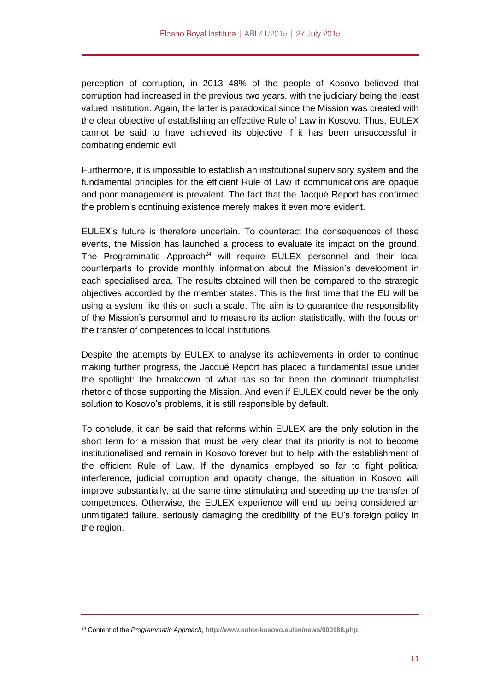perception of corruption, in 2013 48% of the people of Kosovo believed that corruption had increased in the previous two years, with the judiciary being the least valued institution. Again, the latter is paradoxical since the Mission was created with the clear objective of establishing an effective Rule of Law in Kosovo. Thus, EULEX cannot be said to have achieved its objective if it has been unsuccessful in combating endemic evil.

Furthermore, it is impossible to establish an institutional supervisory system and the fundamental principles for the efficient Rule of Law if communications are opaque and poor management is prevalent. The fact that the Jacqué Report has confirmed the problem's continuing existence merely makes it even more evident.

EULEX's future is therefore uncertain. To counteract the consequences of these events, the Mission has launched a process to evaluate its impact on the ground. The Programmatic Approach<sup>24</sup> will require EULEX personnel and their local counterparts to provide monthly information about the Mission's development in each specialised area. The results obtained will then be compared to the strategic objectives accorded by the member states. This is the first time that the EU will be using a system like this on such a scale. The aim is to guarantee the responsibility of the Mission's personnel and to measure its action statistically, with the focus on the transfer of competences to local institutions.

Despite the attempts by EULEX to analyse its achievements in order to continue making further progress, the Jacqué Report has placed a fundamental issue under the spotlight: the breakdown of what has so far been the dominant triumphalist rhetoric of those supporting the Mission. And even if EULEX could never be the only solution to Kosovo's problems, it is still responsible by default.

To conclude, it can be said that reforms within EULEX are the only solution in the short term for a mission that must be very clear that its priority is not to become institutionalised and remain in Kosovo forever but to help with the establishment of the efficient Rule of Law. If the dynamics employed so far to fight political interference, judicial corruption and opacity change, the situation in Kosovo will improve substantially, at the same time stimulating and speeding up the transfer of competences. Otherwise, the EULEX experience will end up being considered an unmitigated failure, seriously damaging the credibility of the EU's foreign policy in the region.

<sup>24</sup> Content of the *Programmatic Approach*, **<http://www.eulex-kosovo.eu/en/news/000188.php>**.